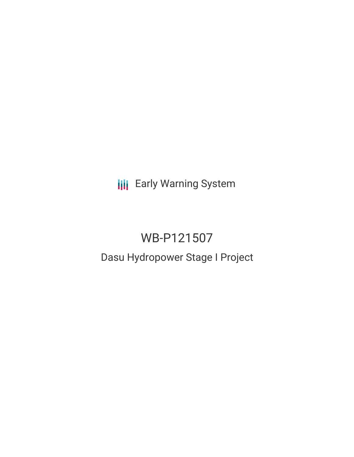**III** Early Warning System

# WB-P121507

## Dasu Hydropower Stage I Project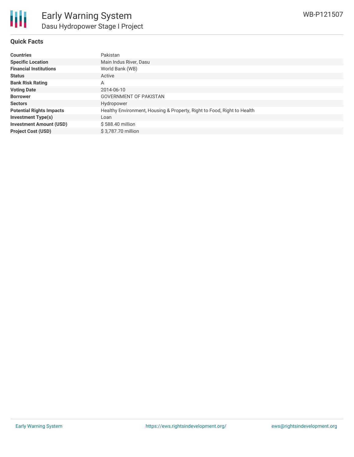#### **Quick Facts**

| <b>Countries</b>                | Pakistan                                                                |
|---------------------------------|-------------------------------------------------------------------------|
| <b>Specific Location</b>        | Main Indus River, Dasu                                                  |
| <b>Financial Institutions</b>   | World Bank (WB)                                                         |
| <b>Status</b>                   | Active                                                                  |
| <b>Bank Risk Rating</b>         | A                                                                       |
| <b>Voting Date</b>              | 2014-06-10                                                              |
| <b>Borrower</b>                 | <b>GOVERNMENT OF PAKISTAN</b>                                           |
| <b>Sectors</b>                  | Hydropower                                                              |
| <b>Potential Rights Impacts</b> | Healthy Environment, Housing & Property, Right to Food, Right to Health |
| <b>Investment Type(s)</b>       | Loan                                                                    |
| <b>Investment Amount (USD)</b>  | \$588.40 million                                                        |
| <b>Project Cost (USD)</b>       | \$3.787.70 million                                                      |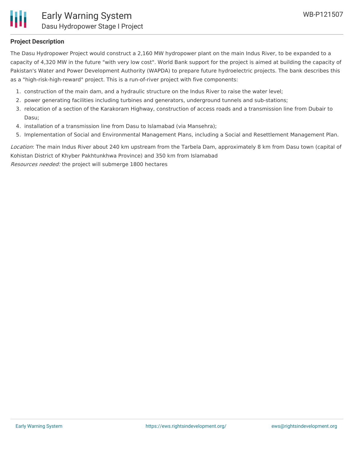

#### **Project Description**

The Dasu Hydropower Project would construct a 2,160 MW hydropower plant on the main Indus River, to be expanded to a capacity of 4,320 MW in the future "with very low cost". World Bank support for the project is aimed at building the capacity of Pakistan's Water and Power Development Authority (WAPDA) to prepare future hydroelectric projects. The bank describes this as a "high-risk-high-reward" project. This is a run-of-river project with five components:

- 1. construction of the main dam, and a hydraulic structure on the Indus River to raise the water level;
- 2. power generating facilities including turbines and generators, underground tunnels and sub-stations;
- 3. relocation of a section of the Karakoram Highway, construction of access roads and a transmission line from Dubair to Dasu;
- 4. installation of a transmission line from Dasu to Islamabad (via Mansehra);
- 5. Implementation of Social and Environmental Management Plans, including a Social and Resettlement Management Plan.

Location: The main Indus River about 240 km upstream from the Tarbela Dam, approximately 8 km from Dasu town (capital of Kohistan District of Khyber Pakhtunkhwa Province) and 350 km from Islamabad Resources needed: the project will submerge 1800 hectares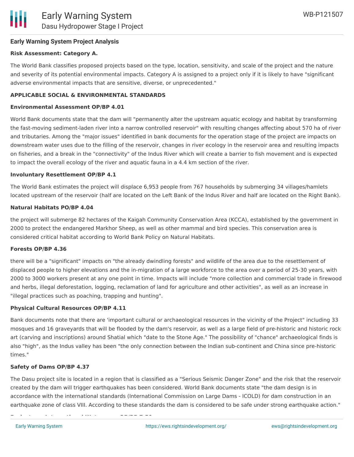## **Early Warning System Project Analysis**

## **Risk Assessment: Category A.**

The World Bank classifies proposed projects based on the type, location, sensitivity, and scale of the project and the nature and severity of its potential environmental impacts. Category A is assigned to a project only if it is likely to have "significant adverse environmental impacts that are sensitive, diverse, or unprecedented."

## **APPLICABLE SOCIAL & ENVIRONMENTAL STANDARDS**

## **Environmental Assessment OP/BP 4.01**

World Bank documents state that the dam will "permanently alter the upstream aquatic ecology and habitat by transforming the fast-moving sediment-laden river into a narrow controlled reservoir" with resulting changes affecting about 570 ha of river and tributaries. Among the "major issues" identified in bank documents for the operation stage of the project are impacts on downstream water uses due to the filling of the reservoir, changes in river ecology in the reservoir area and resulting impacts on fisheries, and a break in the "connectivity" of the Indus River which will create a barrier to fish movement and is expected to impact the overall ecology of the river and aquatic fauna in a 4.4 km section of the river.

## **Involuntary Resettlement OP/BP 4.1**

The World Bank estimates the project will displace 6,953 people from 767 households by submerging 34 villages/hamlets located upstream of the reservoir (half are located on the Left Bank of the Indus River and half are located on the Right Bank).

## **Natural Habitats PO/BP 4.04**

the project will submerge 82 hectares of the Kaigah Community Conservation Area (KCCA), established by the government in 2000 to protect the endangered Markhor Sheep, as well as other mammal and bird species. This conservation area is considered critical habitat according to World Bank Policy on Natural Habitats.

#### **Forests OP/BP 4.36**

there will be a "significant" impacts on "the already dwindling forests" and wildlife of the area due to the resettlement of displaced people to higher elevations and the in-migration of a large workforce to the area over a period of 25-30 years, with 2000 to 3000 workers present at any one point in time. Impacts will include "more collection and commercial trade in firewood and herbs, illegal deforestation, logging, reclamation of land for agriculture and other activities", as well as an increase in "illegal practices such as poaching, trapping and hunting".

#### **Physical Cultural Resources OP/BP 4.11**

**Projects on International Waterways OP/BP 7.50**

Bank documents note that there are 'important cultural or archaeological resources in the vicinity of the Project" including 33 mosques and 16 graveyards that will be flooded by the dam's reservoir, as well as a large field of pre-historic and historic rock art (carving and inscriptions) around Shatial which "date to the Stone Age." The possibility of "chance" archaeological finds is also "high", as the Indus valley has been "the only connection between the Indian sub-continent and China since pre-historic times."

#### **Safety of Dams OP/BP 4.37**

The Dasu project site is located in a region that is classified as a "Serious Seismic Danger Zone" and the risk that the reservoir created by the dam will trigger earthquakes has been considered. World Bank documents state "the dam design is in accordance with the international standards (International Commission on Large Dams - ICOLD) for dam construction in an earthquake zone of class VIII. According to these standards the dam is considered to be safe under strong earthquake action."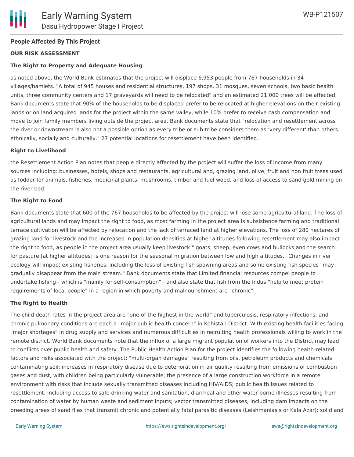#### **People Affected By This Project**

#### **OUR RISK ASSESSMENT**

#### **The Right to Property and Adequate Housing**

as noted above, the World Bank estimates that the project will displace 6,953 people from 767 households in 34 villages/hamlets. "A total of 945 houses and residential structures, 197 shops, 31 mosques, seven schools, two basic health units, three community centers and 17 graveyards will need to be relocated" and an estimated 21,000 trees will be affected. Bank documents state that 90% of the households to be displaced prefer to be relocated at higher elevations on their existing lands or on land acquired lands for the project within the same valley, while 10% prefer to receive cash compensation and move to join family members living outside the project area. Bank documents state that "relocation and resettlement across the river or downstream is also not a possible option as every tribe or sub-tribe considers them as 'very different' than others ethnically, socially and culturally." 27 potential locations for resettlement have been identified.

#### **Right to Livelihood**

the Resettlement Action Plan notes that people directly affected by the project will suffer the loss of income from many sources including: businesses, hotels, shops and restaurants, agricultural and, grazing land, olive, fruit and non fruit trees used as fodder for animals, fisheries, medicinal plants, mushrooms, timber and fuel wood, and loss of access to sand gold mining on the river bed.

#### **The Right to Food**

Bank documents state that 600 of the 767 households to be affected by the project will lose some agricultural land. The loss of agricultural lands and may impact the right to food, as most farming in the project area is subsistence farming and traditional terrace cultivation will be affected by relocation and the lack of terraced land at higher elevations. The loss of 280 hectares of grazing land for livestock and the increased in population densities at higher altitudes following resettlement may also impact the right to food, as people in the project area usually keep livestock " goats, sheep, even cows and bullocks and the search for pasture [at higher altitudes] is one reason for the seasonal migration between low and high altitudes." Changes in river ecology will impact existing fisheries, including the loss of existing fish spawning areas and some existing fish species "may gradually disappear from the main stream." Bank documents state that Limited financial resources compel people to undertake fishing - which is "mainly for self-consumption" - and also state that fish from the Indus "help to meet protein requirements of local people" in a region in which poverty and malnourishment are "chronic".

#### **The Right to Health**

The child death rates in the project area are "one of the highest in the world" and tuberculosis, respiratory infections, and chronic pulmonary conditions are each a "major public health concern" in Kohistan District. With existing health facilities facing "major shortages" in drug supply and services and numerous difficulties in recruiting health professionals willing to work in the remote district, World Bank documents note that the influx of a large migrant population of workers into the District may lead to conflicts over public health and safety. The Public Health Action Plan for the project identifies the following health-related factors and risks associated with the project: "multi-organ damages" resulting from oils, petroleum products and chemicals contaminating soil; increases in respiratory disease due to deterioration in air quality resulting from emissions of combustion gases and dust, with children being particularly vulnerable; the presence of a large construction workforce in a remote environment with risks that include sexually transmitted diseases including HIV/AIDS; public health issues related to resettlement, including access to safe drinking water and sanitation, diarrheal and other water borne illnesses resulting from contamination of water by human waste and sediment inputs; vector transmitted diseases, including dam impacts on the breeding areas of sand flies that transmit chronic and potentially fatal parasitic diseases (Leishmaniasis or Kala Azar); solid and

medical waste disposal; symptoms of psychological stress including an increase in miscarriages, headaches, insomnia,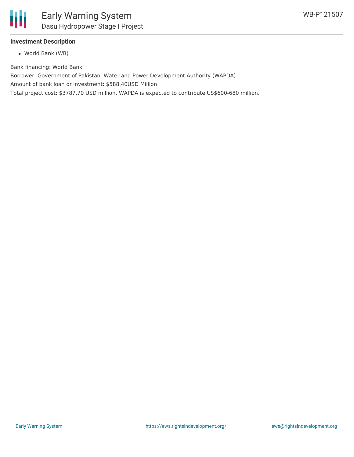

#### **Investment Description**

World Bank (WB)

Bank financing: World Bank

Borrower: Government of Pakistan, Water and Power Development Authority (WAPDA)

Amount of bank loan or investment: \$588.40USD Million

Total project cost: \$3787.70 USD million. WAPDA is expected to contribute US\$600-680 million.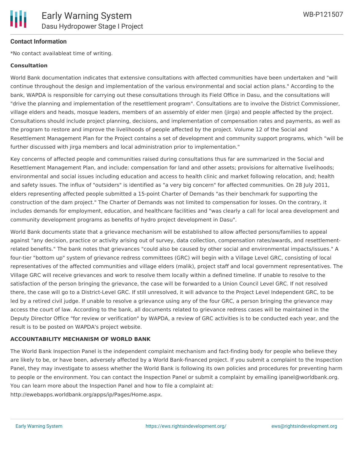

#### **Contact Information**

\*No contact availableat time of writing.

#### **Consultation**

World Bank documentation indicates that extensive consultations with affected communities have been undertaken and "will continue throughout the design and implementation of the various environmental and social action plans." According to the bank, WAPDA is responsible for carrying out these consultations through its Field Office in Dasu, and the consultations will "drive the planning and implementation of the resettlement program". Consultations are to involve the District Commissioner, village elders and heads, mosque leaders, members of an assembly of elder men (jirga) and people affected by the project. Consultations should include project planning, decisions, and implementation of compensation rates and payments, as well as the program to restore and improve the livelihoods of people affected by the project. Volume 12 of the Social and Resettlement Management Plan for the Project contains a set of development and community support programs, which "will be further discussed with jirga members and local administration prior to implementation."

Key concerns of affected people and communities raised during consultations thus far are summarized in the Social and Resettlement Management Plan, and include: compensation for land and other assets; provisions for alternative livelihoods; environmental and social issues including education and access to health clinic and market following relocation, and; health and safety issues. The influx of "outsiders" is identified as "a very big concern" for affected communities. On 28 July 2011, elders representing affected people submitted a 15-point Charter of Demands "as their benchmark for supporting the construction of the dam project." The Charter of Demands was not limited to compensation for losses. On the contrary, it includes demands for employment, education, and healthcare facilities and "was clearly a call for local area development and community development programs as benefits of hydro project development in Dasu".

World Bank documents state that a grievance mechanism will be established to allow affected persons/families to appeal against "any decision, practice or activity arising out of survey, data collection, compensation rates/awards, and resettlementrelated benefits." The bank notes that grievances "could also be caused by other social and environmental impacts/issues." A four-tier "bottom up" system of grievance redress committees (GRC) will begin with a Village Level GRC, consisting of local representatives of the affected communities and village elders (malik), project staff and local government representatives. The Village GRC will receive grievances and work to resolve them locally within a defined timeline. If unable to resolve to the satisfaction of the person bringing the grievance, the case will be forwarded to a Union Council Level GRC. If not resolved there, the case will go to a District-Level GRC. If still unresolved, it will advance to the Project Level Independent GRC, to be led by a retired civil judge. If unable to resolve a grievance using any of the four GRC, a person bringing the grievance may access the court of law. According to the bank, all documents related to grievance redress cases will be maintained in the Deputy Director Office "for review or verification" by WAPDA, a review of GRC activities is to be conducted each year, and the result is to be posted on WAPDA's project website.

#### **ACCOUNTABILITY MECHANISM OF WORLD BANK**

The World Bank Inspection Panel is the independent complaint mechanism and fact-finding body for people who believe they are likely to be, or have been, adversely affected by a World Bank-financed project. If you submit a complaint to the Inspection Panel, they may investigate to assess whether the World Bank is following its own policies and procedures for preventing harm to people or the environment. You can contact the Inspection Panel or submit a complaint by emailing ipanel@worldbank.org. You can learn more about the Inspection Panel and how to file a complaint at: http://ewebapps.worldbank.org/apps/ip/Pages/Home.aspx.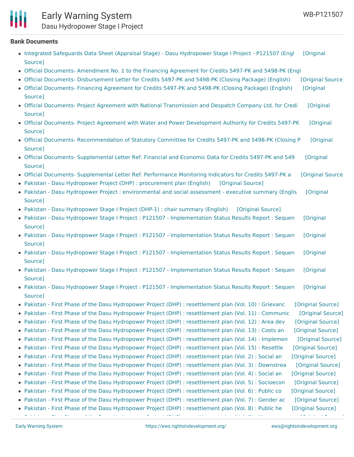## Early Warning System

Dasu Hydropower Stage I Project

#### **Bank Documents**

- Integrated Safeguards Data Sheet (Appraisal Stage) Dasu [Hydropower](https://ewsdata.rightsindevelopment.org/files/documents/07/WB-P121507_wMS7ZuF.pdf) Stage I Project P121507 (Engl [Original Source]
- Official Documents- [Amendment](http://documents.worldbank.org/curated/en/855131478107028977/Official-Documents-Amendment-No-1-to-the-Financing-Agreement-for-Credits-5497-PK-and-5498-PK) No. 1 to the Financing Agreement for Credits 5497-PK and 5498-PK (Engl
- Official Documents- [Disbursement](https://ewsdata.rightsindevelopment.org/files/documents/07/WB-P121507_OrgGVqQ.pdf) Letter for Credits 5497-PK and 5498-PK (Closing Package) (English) [\[Original](http://documents.worldbank.org/curated/en/241651468289860776/pdf/RAD769525524.pdf) Source]
- Official [Documents-](https://ewsdata.rightsindevelopment.org/files/documents/07/WB-P121507_3q6pF3e.pdf) Financing Agreement for Credits 5497-PK and 5498-PK (Closing Package) (English) [Original Source]
- Official Documents- Project Agreement with National [Transmission](https://ewsdata.rightsindevelopment.org/files/documents/07/WB-P121507_ConGF23.pdf) and Despatch Company Ltd. for Credi [Original Source]
- Official Documents- Project Agreement with Water and Power [Development](https://ewsdata.rightsindevelopment.org/files/documents/07/WB-P121507_x047zbW.pdf) Authority for Credits 5497-PK [Original Source]
- Official Documents- [Recommendation](https://ewsdata.rightsindevelopment.org/files/documents/07/WB-P121507_JSWD9ff.pdf) of Statutory Committee for Credits 5497-PK and 5498-PK (Closing P [Original Source]
- Official Documents- [Supplemental](https://ewsdata.rightsindevelopment.org/files/documents/07/WB-P121507_AryjVIU.pdf) Letter Ref. Financial and Economic Data for Credits 5497-PK and 549 [Original Source]
- Official Documents- [Supplemental](https://ewsdata.rightsindevelopment.org/files/documents/07/WB-P121507_lHpaquJ.pdf) Letter Ref. Performance Monitoring Indicators for Credits 5497-PK a [\[Original](http://documents.worldbank.org/curated/en/123851468289861129/pdf/RAD405702472.pdf) Source]
- Pakistan Dasu Hydropower Project (DHP) : [procurement](https://ewsdata.rightsindevelopment.org/files/documents/07/WB-P121507_xDz46uG.pdf) plan (English) [\[Original](http://documents.worldbank.org/curated/en/100941468197343426/pdf/101853-PROP-P121507-PUBLIC-Box394819B-Dasu-Hydro-Power-Project.pdf) Source]
- Pakistan Dasu Hydropower Project : [environmental](https://ewsdata.rightsindevelopment.org/files/documents/07/WB-P121507_qtB01zZ.pdf) and social assessment executive summary (Englis [Original Source]
- Pakistan Dasu [Hydropower](https://ewsdata.rightsindevelopment.org/files/documents/07/WB-P121507_F1OvkPK.pdf) Stage I Project (DHP-1) : chair summary (English) [\[Original](http://documents.worldbank.org/curated/en/915101468090592797/pdf/886590BS0P1215040Box385229B00OUO090.pdf) Source]
- Pakistan Dasu Hydropower Stage I Project : P121507 [Implementation](http://documents.worldbank.org/curated/en/619571468097742521/pdf/ISR-Disclosable-P121507-06-09-2016-1465529782328.pdf) Status Results Report : Sequen [Original Source]
- Pakistan Dasu Hydropower Stage I Project : P121507 [Implementation](http://documents.worldbank.org/curated/en/810761468287743564/pdf/ISR-Disclosable-P121507-12-07-2015-1449528003142.pdf) Status Results Report : Sequen [Original Source]
- Pakistan Dasu Hydropower Stage I Project : P121507 [Implementation](http://documents.worldbank.org/curated/en/138151468059048009/pdf/ISR-Disclosable-P121507-04-16-2015-1429182229713.pdf) Status Results Report : Sequen [Original Source]
- Pakistan Dasu Hydropower Stage I Project : P121507 [Implementation](http://documents.worldbank.org/curated/en/444091468291936566/pdf/ISR-Disclosable-P121507-10-10-2014-1412958587084.pdf) Status Results Report : Sequen [Original Source]
- Pakistan Dasu Hydropower Stage I Project : P121507 [Implementation](http://documents.worldbank.org/curated/en/587061482330979698/pdf/ISR-Disclosable-P121507-12-21-2016-1482330963106.pdf) Status Results Report : Sequen [Original Source]
- Pakistan First Phase of the Dasu Hydropower Project (DHP) : [resettlement](https://ewsdata.rightsindevelopment.org/files/documents/07/WB-P121507_xvSjOc5.pdf) plan (Vol. 10) : Grievanc [\[Original](http://documents.worldbank.org/curated/en/503151468286504412/pdf/RP15580V100P1200Box385163B00PUBLIC0.pdf) Source]
- Pakistan First Phase of the Dasu Hydropower Project (DHP) : [resettlement](https://ewsdata.rightsindevelopment.org/files/documents/07/WB-P121507_U6FImkx.pdf) plan (Vol. 11) : Communic [\[Original](http://documents.worldbank.org/curated/en/732671468327376440/pdf/RP15580V110P1200Box385163B00PUBLIC0.pdf) Source]
- Pakistan First Phase of the Dasu Hydropower Project (DHP) : [resettlement](https://ewsdata.rightsindevelopment.org/files/documents/07/WB-P121507_PelOo6P.pdf) plan (Vol. 12) : Area dev [\[Original](http://documents.worldbank.org/curated/en/560001468286781116/pdf/RP15580V120P1200Box385164B00PUBLIC0.pdf) Source]
- Pakistan First Phase of the Dasu Hydropower Project (DHP) : [resettlement](https://ewsdata.rightsindevelopment.org/files/documents/07/WB-P121507_JUg94Iy.pdf) plan (Vol. 13) : Costs an [\[Original](http://documents.worldbank.org/curated/en/196291468087848617/pdf/RP15580V130P1200Box385164B00PUBLIC0.pdf) Source]
- Pakistan First Phase of the Dasu Hydropower Project (DHP) : [resettlement](https://ewsdata.rightsindevelopment.org/files/documents/07/WB-P121507_dOLONcq.pdf) plan (Vol. 14) : Implemen [\[Original](http://documents.worldbank.org/curated/en/387971468145472552/pdf/RP15580V140SRM00Box385164B00PUBLIC0.pdf) Source]
- Pakistan First Phase of the Dasu Hydropower Project (DHP) : [resettlement](https://ewsdata.rightsindevelopment.org/files/documents/07/WB-P121507_H0axugY.pdf) plan (Vol. 15) : Resettle [\[Original](http://documents.worldbank.org/curated/en/524641468057351471/pdf/RP15580V150P1200Box385164B00PUBLIC0.pdf) Source]
- Pakistan First Phase of the Dasu Hydropower Project (DHP) : [resettlement](https://ewsdata.rightsindevelopment.org/files/documents/07/WB-P121507_yumBX7B.pdf) plan (Vol. 2) : Social an [\[Original](http://documents.worldbank.org/curated/en/925121468087848248/pdf/RP15580V20REVI00Box385163B00PUBLIC0.pdf) Source]
- Pakistan First Phase of the Dasu Hydropower Project (DHP) : [resettlement](https://ewsdata.rightsindevelopment.org/files/documents/07/WB-P121507_jWBqAil.pdf) plan (Vol. 3) : Downstrea [\[Original](http://documents.worldbank.org/curated/en/187101468074333538/pdf/RP15580V30REVI00Box385164B00PUBLIC0.pdf) Source] • Pakistan - First Phase of the Dasu Hydropower Project (DHP) : [resettlement](https://ewsdata.rightsindevelopment.org/files/documents/07/WB-P121507_9kE8UO8.pdf) plan (Vol. 4) : Social an [\[Original](http://documents.worldbank.org/curated/en/552251468286507727/pdf/RP15580V40REVI00Box385162B00PUBLIC0.pdf) Source]
- Pakistan First Phase of the Dasu Hydropower Project (DHP) : [resettlement](https://ewsdata.rightsindevelopment.org/files/documents/07/WB-P121507_c8NFggk.pdf) plan (Vol. 5) : Socioecon [\[Original](http://documents.worldbank.org/curated/en/911641468066528735/pdf/RP15580V50SRMP00Box385163B00PUBLIC0.pdf) Source]
- Pakistan First Phase of the Dasu Hydropower Project (DHP) : [resettlement](https://ewsdata.rightsindevelopment.org/files/documents/07/WB-P121507_kqUAUFi.pdf) plan (Vol. 6) : Public co [\[Original](http://documents.worldbank.org/curated/en/141181468144892253/pdf/RP15580V60SRMP00Box385163B00PUBLIC0.pdf) Source]
- Pakistan First Phase of the Dasu Hydropower Project (DHP) : [resettlement](https://ewsdata.rightsindevelopment.org/files/documents/07/WB-P121507_bdHXQdH.pdf) plan (Vol. 7) : Gender ac [\[Original](http://documents.worldbank.org/curated/en/263071468057350769/pdf/RP15580V70P12100Box385163B00PUBLIC0.pdf) Source]
- Pakistan First Phase of the Dasu Hydropower Project (DHP) : [resettlement](https://ewsdata.rightsindevelopment.org/files/documents/07/WB-P121507_wr9CI61.pdf) plan (Vol. 8) : Public he [\[Original](http://documents.worldbank.org/curated/en/539511468283490517/pdf/RP15580V80P12100Box385163B00PUBLIC0.pdf) Source] Pakistan - First Phase of the Dasu Hydropower Project (DHP) : [resettlement](https://ewsdata.rightsindevelopment.org/files/documents/07/WB-P121507_CAaIZ13.pdf) plan (Vol. 9) : Managemen [\[Original](http://documents.worldbank.org/curated/en/155111468288044025/pdf/RP15580V90P12100Box385163B00PUBLIC0.pdf) Source]